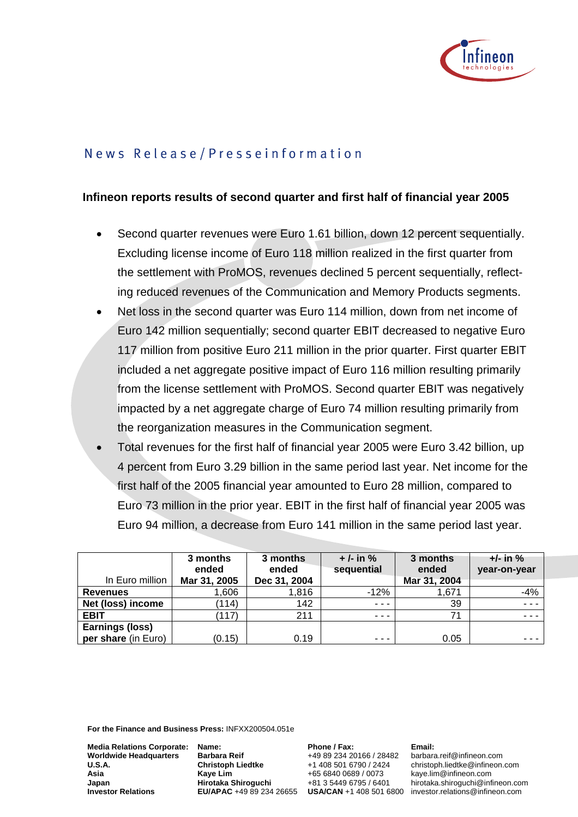

# News Release/Presseinformation

## **Infineon reports results of second quarter and first half of financial year 2005**

- Second quarter revenues were Euro 1.61 billion, down 12 percent sequentially. Excluding license income of Euro 118 million realized in the first quarter from the settlement with ProMOS, revenues declined 5 percent sequentially, reflecting reduced revenues of the Communication and Memory Products segments.
- Net loss in the second quarter was Euro 114 million, down from net income of Euro 142 million sequentially; second quarter EBIT decreased to negative Euro 117 million from positive Euro 211 million in the prior quarter. First quarter EBIT included a net aggregate positive impact of Euro 116 million resulting primarily from the license settlement with ProMOS. Second quarter EBIT was negatively impacted by a net aggregate charge of Euro 74 million resulting primarily from the reorganization measures in the Communication segment.
- Total revenues for the first half of financial year 2005 were Euro 3.42 billion, up 4 percent from Euro 3.29 billion in the same period last year. Net income for the first half of the 2005 financial year amounted to Euro 28 million, compared to Euro 73 million in the prior year. EBIT in the first half of financial year 2005 was Euro 94 million, a decrease from Euro 141 million in the same period last year.

|                        | 3 months<br>ended | 3 months<br>ended | $+/-$ in %<br>sequential | 3 months<br>ended | $+/-$ in $%$<br>year-on-year |
|------------------------|-------------------|-------------------|--------------------------|-------------------|------------------------------|
| In Euro million        | Mar 31, 2005      | Dec 31, 2004      |                          | Mar 31, 2004      |                              |
| <b>Revenues</b>        | ,606              | 1,816             | $-12%$                   | 1.671             | $-4%$                        |
| Net (loss) income      | (114)             | 142               | $- - -$                  | 39                | $- - -$                      |
| <b>EBIT</b>            | (117)             | 211               | $- - -$                  | 71                | $\sim$ $\sim$ $\sim$         |
| <b>Earnings (loss)</b> |                   |                   |                          |                   |                              |
| per share (in Euro)    | (0.15)            | 0.19              | ---                      | 0.05              | ---                          |

**For the Finance and Business Press:** INFXX200504.051e

**Media Relations Corporate: Worldwide Headquarters U.S.A. Asia Japan Investor Relations**

**Name: Barbara Reif Christoph Liedtke Kaye Lim Hirotaka Shiroguchi**  **Phone / Fax:**  +49 89 234 20166 / 28482 +1 408 501 6790 / 2424 +65 6840 0689 / 0073 +81 3 5449 6795 / 6401

**Email:**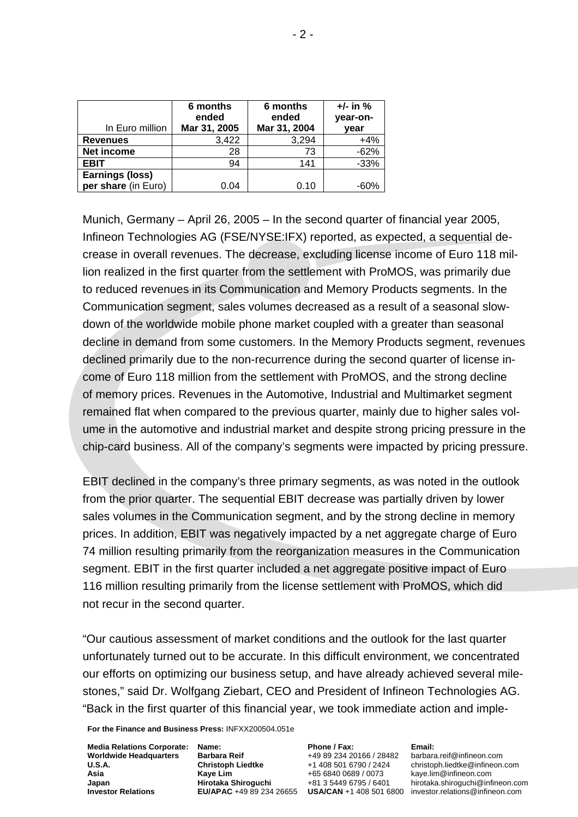| In Euro million        | 6 months<br>ended<br>Mar 31, 2005 | 6 months<br>ended<br>Mar 31, 2004 | $+/-$ in %<br>year-on-<br>year |
|------------------------|-----------------------------------|-----------------------------------|--------------------------------|
| <b>Revenues</b>        | 3,422                             | 3,294                             | $+4%$                          |
| Net income             | 28                                | 73                                | $-62%$                         |
| <b>EBIT</b>            | 94                                | 141                               | $-33%$                         |
| <b>Earnings (loss)</b> |                                   |                                   |                                |
| per share (in Euro)    | 0.04                              | 0.10                              | $-60%$                         |

Munich, Germany – April 26, 2005 – In the second quarter of financial year 2005, Infineon Technologies AG (FSE/NYSE:IFX) reported, as expected, a sequential decrease in overall revenues. The decrease, excluding license income of Euro 118 million realized in the first quarter from the settlement with ProMOS, was primarily due to reduced revenues in its Communication and Memory Products segments. In the Communication segment, sales volumes decreased as a result of a seasonal slowdown of the worldwide mobile phone market coupled with a greater than seasonal decline in demand from some customers. In the Memory Products segment, revenues declined primarily due to the non-recurrence during the second quarter of license income of Euro 118 million from the settlement with ProMOS, and the strong decline of memory prices. Revenues in the Automotive, Industrial and Multimarket segment remained flat when compared to the previous quarter, mainly due to higher sales volume in the automotive and industrial market and despite strong pricing pressure in the chip-card business. All of the company's segments were impacted by pricing pressure.

EBIT declined in the company's three primary segments, as was noted in the outlook from the prior quarter. The sequential EBIT decrease was partially driven by lower sales volumes in the Communication segment, and by the strong decline in memory prices. In addition, EBIT was negatively impacted by a net aggregate charge of Euro 74 million resulting primarily from the reorganization measures in the Communication segment. EBIT in the first quarter included a net aggregate positive impact of Euro 116 million resulting primarily from the license settlement with ProMOS, which did not recur in the second quarter.

"Our cautious assessment of market conditions and the outlook for the last quarter unfortunately turned out to be accurate. In this difficult environment, we concentrated our efforts on optimizing our business setup, and have already achieved several milestones," said Dr. Wolfgang Ziebart, CEO and President of Infineon Technologies AG. "Back in the first quarter of this financial year, we took immediate action and imple-

**For the Finance and Business Press:** INFXX200504.051e

**Media Relations Corporate: Worldwide Headquarters U.S.A. Asia Japan Investor Relations**

**Name: Barbara Reif Christoph Liedtke Kaye Lim Hirotaka Shiroguchi** 

**Phone / Fax:**  +49 89 234 20166 / 28482 +1 408 501 6790 / 2424 +65 6840 0689 / 0073 +81 3 5449 6795 / 6401

**Email:**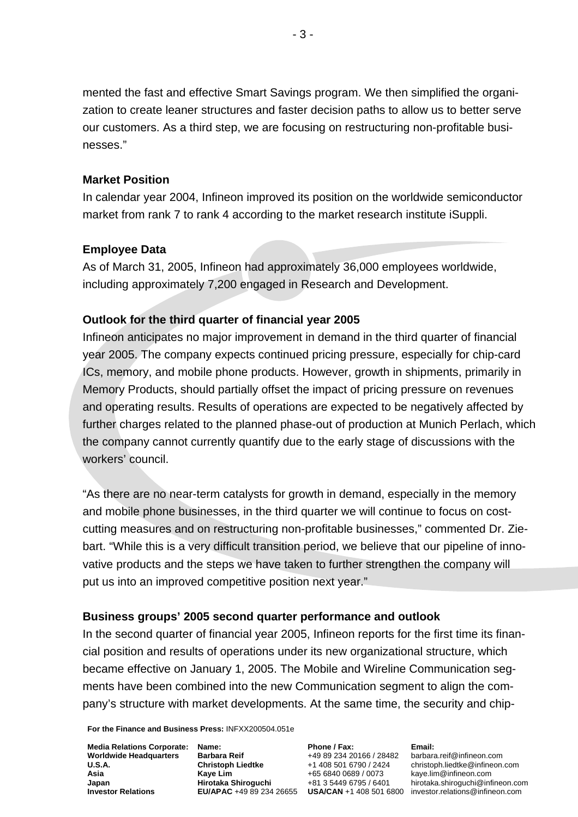mented the fast and effective Smart Savings program. We then simplified the organization to create leaner structures and faster decision paths to allow us to better serve our customers. As a third step, we are focusing on restructuring non-profitable businesses."

### **Market Position**

In calendar year 2004, Infineon improved its position on the worldwide semiconductor market from rank 7 to rank 4 according to the market research institute iSuppli.

### **Employee Data**

As of March 31, 2005, Infineon had approximately 36,000 employees worldwide, including approximately 7,200 engaged in Research and Development.

## **Outlook for the third quarter of financial year 2005**

Infineon anticipates no major improvement in demand in the third quarter of financial year 2005. The company expects continued pricing pressure, especially for chip-card ICs, memory, and mobile phone products. However, growth in shipments, primarily in Memory Products, should partially offset the impact of pricing pressure on revenues and operating results. Results of operations are expected to be negatively affected by further charges related to the planned phase-out of production at Munich Perlach, which the company cannot currently quantify due to the early stage of discussions with the workers' council.

"As there are no near-term catalysts for growth in demand, especially in the memory and mobile phone businesses, in the third quarter we will continue to focus on costcutting measures and on restructuring non-profitable businesses," commented Dr. Ziebart. "While this is a very difficult transition period, we believe that our pipeline of innovative products and the steps we have taken to further strengthen the company will put us into an improved competitive position next year."

### **Business groups' 2005 second quarter performance and outlook**

In the second quarter of financial year 2005, Infineon reports for the first time its financial position and results of operations under its new organizational structure, which became effective on January 1, 2005. The Mobile and Wireline Communication segments have been combined into the new Communication segment to align the company's structure with market developments. At the same time, the security and chip-

**For the Finance and Business Press:** INFXX200504.051e

**Media Relations Corporate: Worldwide Headquarters U.S.A. Asia Japan Investor Relations**

**Name: Barbara Reif Christoph Liedtke Kaye Lim Hirotaka Shiroguchi** 

**Phone / Fax:**  +49 89 234 20166 / 28482 +1 408 501 6790 / 2424 +65 6840 0689 / 0073 +81 3 5449 6795 / 6401

**Email:**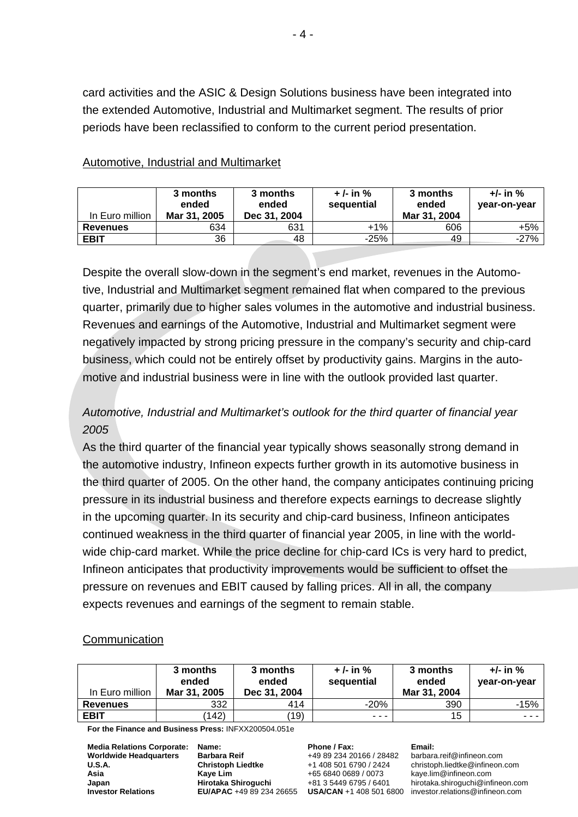card activities and the ASIC & Design Solutions business have been integrated into the extended Automotive, Industrial and Multimarket segment. The results of prior periods have been reclassified to conform to the current period presentation.

| In Euro million | 3 months<br>ended<br>Mar 31, 2005 | 3 months<br>ended<br>Dec 31, 2004 | $+/-$ in %<br>sequential | 3 months<br>ended<br>Mar 31, 2004 | $+/-$ in %<br>year-on-year |
|-----------------|-----------------------------------|-----------------------------------|--------------------------|-----------------------------------|----------------------------|
| <b>Revenues</b> | 634                               | 631                               | +1%                      | 606                               | +5%                        |
| <b>EBIT</b>     | 36                                | 48                                | $-25%$                   | 49                                | $-27%$                     |

### Automotive, Industrial and Multimarket

Despite the overall slow-down in the segment's end market, revenues in the Automotive, Industrial and Multimarket segment remained flat when compared to the previous quarter, primarily due to higher sales volumes in the automotive and industrial business. Revenues and earnings of the Automotive, Industrial and Multimarket segment were negatively impacted by strong pricing pressure in the company's security and chip-card business, which could not be entirely offset by productivity gains. Margins in the automotive and industrial business were in line with the outlook provided last quarter.

# *Automotive, Industrial and Multimarket's outlook for the third quarter of financial year 2005*

As the third quarter of the financial year typically shows seasonally strong demand in the automotive industry, Infineon expects further growth in its automotive business in the third quarter of 2005. On the other hand, the company anticipates continuing pricing pressure in its industrial business and therefore expects earnings to decrease slightly in the upcoming quarter. In its security and chip-card business, Infineon anticipates continued weakness in the third quarter of financial year 2005, in line with the worldwide chip-card market. While the price decline for chip-card ICs is very hard to predict, Infineon anticipates that productivity improvements would be sufficient to offset the pressure on revenues and EBIT caused by falling prices. All in all, the company expects revenues and earnings of the segment to remain stable.

# **Communication**

| In Euro million | 3 months<br>ended<br>Mar 31, 2005 | 3 months<br>ended<br>Dec 31, 2004 | $+/-$ in $%$<br>sequential | 3 months<br>ended<br>Mar 31, 2004 | +/- in %<br>year-on-year |
|-----------------|-----------------------------------|-----------------------------------|----------------------------|-----------------------------------|--------------------------|
| <b>Revenues</b> | 332                               | 414                               | $-20\%$                    | 390                               | $-15%$                   |
| <b>EBIT</b>     | 142)                              | (19)                              | $\cdots$                   | 15                                | ---                      |

**For the Finance and Business Press:** INFXX200504.051e

| <b>Media Relations Corporate:</b> |
|-----------------------------------|
| <b>Worldwide Headquarters</b>     |
| U.S.A.                            |
| Asia                              |
| Japan                             |
| <b>Investor Relations</b>         |

**Name: Barbara Reif Christoph Liedtke Kaye Lim Hirotaka Shiroguchi** 

**Phone / Fax:**  +49 89 234 20166 / 28482 +1 408 501 6790 / 2424 +65 6840 0689 / 0073 +81 3 5449 6795 / 6401

#### **Email:**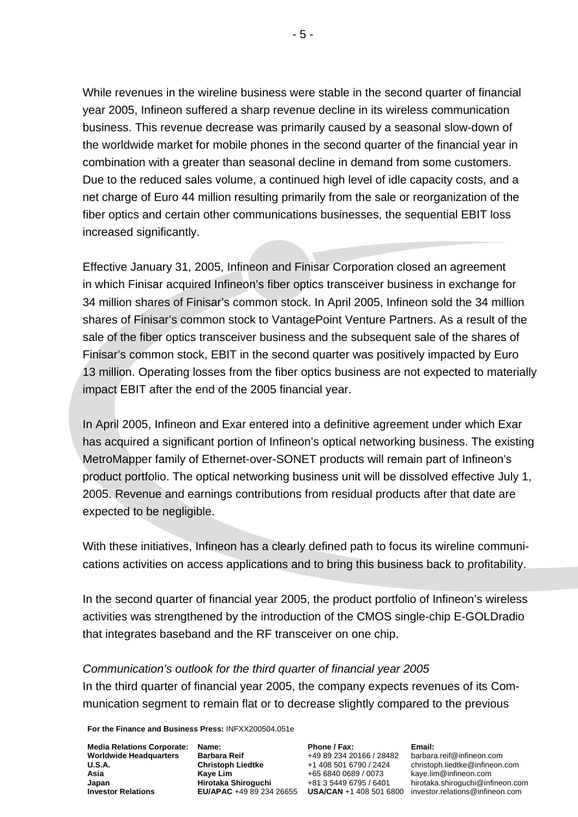While revenues in the wireline business were stable in the second quarter of financial year 2005, Infineon suffered a sharp revenue decline in its wireless communication business. This revenue decrease was primarily caused by a seasonal slow-down of the worldwide market for mobile phones in the second quarter of the financial year in combination with a greater than seasonal decline in demand from some customers. Due to the reduced sales volume, a continued high level of idle capacity costs, and a net charge of Euro 44 million resulting primarily from the sale or reorganization of the fiber optics and certain other communications businesses, the sequential EBIT loss increased significantly.

Effective January 31, 2005, Infineon and Finisar Corporation closed an agreement in which Finisar acquired Infineon's fiber optics transceiver business in exchange for 34 million shares of Finisar's common stock. In April 2005, Infineon sold the 34 million shares of Finisar's common stock to VantagePoint Venture Partners. As a result of the sale of the fiber optics transceiver business and the subsequent sale of the shares of Finisar's common stock, EBIT in the second quarter was positively impacted by Euro 13 million. Operating losses from the fiber optics business are not expected to materially impact EBIT after the end of the 2005 financial year.

In April 2005, Infineon and Exar entered into a definitive agreement under which Exar has acquired a significant portion of Infineon's optical networking business. The existing MetroMapper family of Ethernet-over-SONET products will remain part of Infineon's product portfolio. The optical networking business unit will be dissolved effective July 1, 2005. Revenue and earnings contributions from residual products after that date are expected to be negligible.

With these initiatives, Infineon has a clearly defined path to focus its wireline communications activities on access applications and to bring this business back to profitability.

In the second quarter of financial year 2005, the product portfolio of Infineon's wireless activities was strengthened by the introduction of the CMOS single-chip E-GOLDradio that integrates baseband and the RF transceiver on one chip.

# *Communication's outlook for the third quarter of financial year 2005*  In the third quarter of financial year 2005, the company expects revenues of its Communication segment to remain flat or to decrease slightly compared to the previous

**For the Finance and Business Press:** INFXX200504.051e

**Media Relations Corporate: Worldwide Headquarters U.S.A. Asia Japan Investor Relations**

**Name: Barbara Reif Christoph Liedtke Kaye Lim Hirotaka Shiroguchi** 

**Phone / Fax:**  +49 89 234 20166 / 28482 +1 408 501 6790 / 2424 +65 6840 0689 / 0073 +81 3 5449 6795 / 6401

**Email:**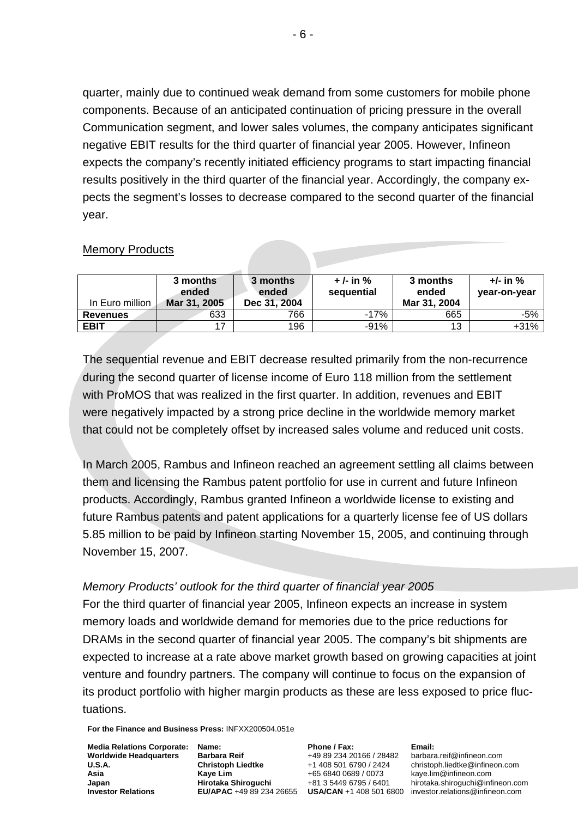quarter, mainly due to continued weak demand from some customers for mobile phone components. Because of an anticipated continuation of pricing pressure in the overall Communication segment, and lower sales volumes, the company anticipates significant negative EBIT results for the third quarter of financial year 2005. However, Infineon expects the company's recently initiated efficiency programs to start impacting financial results positively in the third quarter of the financial year. Accordingly, the company expects the segment's losses to decrease compared to the second quarter of the financial year.

## Memory Products

| In Euro million | 3 months<br>ended<br>Mar 31, 2005 | 3 months<br>ended<br>Dec 31, 2004 | $+/-$ in %<br>sequential | 3 months<br>ended<br>Mar 31, 2004 | $+/-$ in $%$<br>year-on-year |
|-----------------|-----------------------------------|-----------------------------------|--------------------------|-----------------------------------|------------------------------|
| <b>Revenues</b> | 633                               | 766                               | $-17%$                   | 665                               | $-5%$                        |
| <b>EBIT</b>     |                                   | 196                               | $-91%$                   | 13                                | $+31%$                       |

The sequential revenue and EBIT decrease resulted primarily from the non-recurrence during the second quarter of license income of Euro 118 million from the settlement with ProMOS that was realized in the first quarter. In addition, revenues and EBIT were negatively impacted by a strong price decline in the worldwide memory market that could not be completely offset by increased sales volume and reduced unit costs.

In March 2005, Rambus and Infineon reached an agreement settling all claims between them and licensing the Rambus patent portfolio for use in current and future Infineon products. Accordingly, Rambus granted Infineon a worldwide license to existing and future Rambus patents and patent applications for a quarterly license fee of US dollars 5.85 million to be paid by Infineon starting November 15, 2005, and continuing through November 15, 2007.

### *Memory Products' outlook for the third quarter of financial year 2005*

For the third quarter of financial year 2005, Infineon expects an increase in system memory loads and worldwide demand for memories due to the price reductions for DRAMs in the second quarter of financial year 2005. The company's bit shipments are expected to increase at a rate above market growth based on growing capacities at joint venture and foundry partners. The company will continue to focus on the expansion of its product portfolio with higher margin products as these are less exposed to price fluctuations.

**For the Finance and Business Press:** INFXX200504.051e

**Media Relations Corporate: Worldwide Headquarters U.S.A. Asia Japan Investor Relations**

**Name: Barbara Reif Christoph Liedtke Kaye Lim Hirotaka Shiroguchi** 

**Phone / Fax:**  +49 89 234 20166 / 28482 +1 408 501 6790 / 2424 +65 6840 0689 / 0073 +81 3 5449 6795 / 6401

**Email:**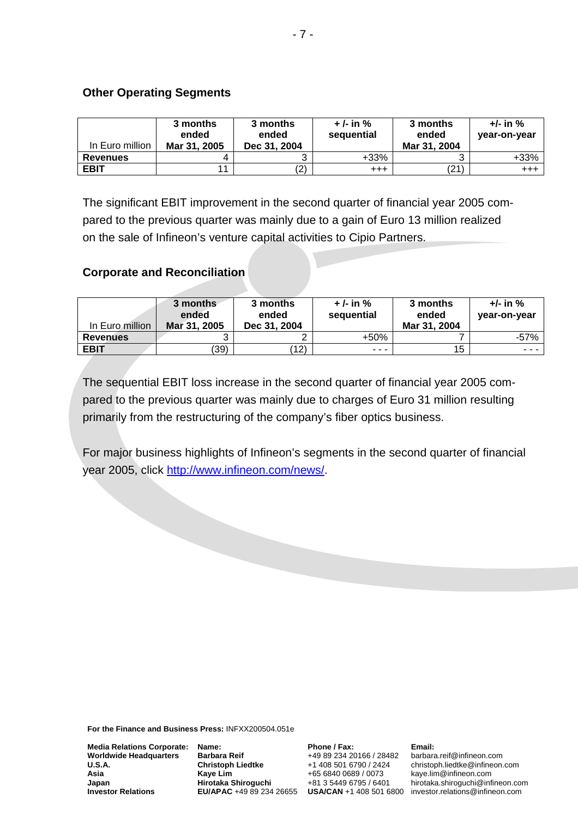## **Other Operating Segments**

| In Euro million | 3 months<br>ended<br>Mar 31, 2005 | 3 months<br>ended<br>Dec 31, 2004 | $+/-$ in %<br>sequential | 3 months<br>ended<br>Mar 31, 2004 | $+/-$ in %<br>year-on-year |
|-----------------|-----------------------------------|-----------------------------------|--------------------------|-----------------------------------|----------------------------|
| <b>Revenues</b> |                                   |                                   | $+33%$                   |                                   | $+33%$                     |
| <b>EBIT</b>     |                                   | (2)                               | $^{+++}$                 | (21)                              | $^{+++}$                   |

The significant EBIT improvement in the second quarter of financial year 2005 compared to the previous quarter was mainly due to a gain of Euro 13 million realized on the sale of Infineon's venture capital activities to Cipio Partners.

# **Corporate and Reconciliation**

| In Euro million | 3 months<br>ended<br>Mar 31, 2005 | 3 months<br>ended<br>Dec 31, 2004 | $+/-$ in %<br>sequential | 3 months<br>ended<br>Mar 31, 2004 | $+/-$ in $%$<br>year-on-year                                                                                              |
|-----------------|-----------------------------------|-----------------------------------|--------------------------|-----------------------------------|---------------------------------------------------------------------------------------------------------------------------|
| <b>Revenues</b> |                                   | ົ                                 | $+50%$                   |                                   | $-57%$                                                                                                                    |
| <b>EBIT</b>     | (39)                              | (12)                              | $- - -$                  | 15                                | $\frac{1}{2} \left( \frac{1}{2} \right) \left( \frac{1}{2} \right) \left( \frac{1}{2} \right) \left( \frac{1}{2} \right)$ |

The sequential EBIT loss increase in the second quarter of financial year 2005 compared to the previous quarter was mainly due to charges of Euro 31 million resulting primarily from the restructuring of the company's fiber optics business.

For major business highlights of Infineon's segments in the second quarter of financial year 2005, click http://www.infineon.com/news/.

**For the Finance and Business Press:** INFXX200504.051e

**Media Relations Corporate: Worldwide Headquarters U.S.A. Asia Japan Investor Relations**

**Name: Barbara Reif Christoph Liedtke Kaye Lim Hirotaka Shiroguchi** 

**Phone / Fax:**  +49 89 234 20166 / 28482 +1 408 501 6790 / 2424 +65 6840 0689 / 0073 +81 3 5449 6795 / 6401

**Email:**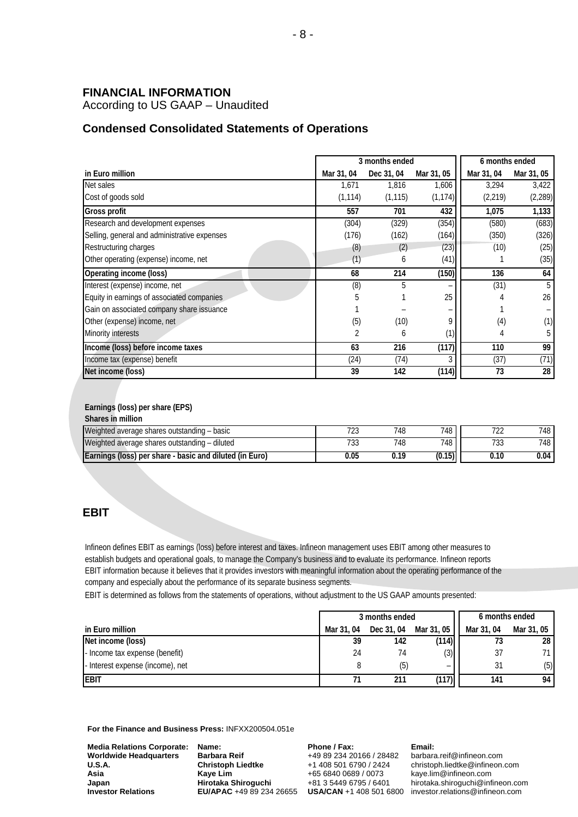#### **FINANCIAL INFORMATION**

According to US GAAP – Unaudited

#### **Condensed Consolidated Statements of Operations**

|                                              |            | 3 months ended |            | 6 months ended |            |
|----------------------------------------------|------------|----------------|------------|----------------|------------|
| in Euro million                              | Mar 31, 04 | Dec 31, 04     | Mar 31, 05 | Mar 31, 04     | Mar 31, 05 |
| Net sales                                    | 1,671      | 1,816          | 1,606      | 3,294          | 3,422      |
| Cost of goods sold                           | (1, 114)   | (1, 115)       | (1, 174)   | (2, 219)       | (2, 289)   |
| <b>Gross profit</b>                          | 557        | 701            | 432        | 1,075          | 1,133      |
| Research and development expenses            | (304)      | (329)          | (354)      | (580)          | (683)      |
| Selling, general and administrative expenses | (176)      | (162)          | (164)      | (350)          | (326)      |
| Restructuring charges                        | (8)        | (2)            | (23)       | (10)           | (25)       |
| Other operating (expense) income, net        | (1)        | 6              | (41)       |                | (35)       |
| <b>Operating income (loss)</b>               | 68         | 214            | (150)      | 136            | 64         |
| Interest (expense) income, net               | (8)        | 5              |            | (31)           | 5          |
| Equity in earnings of associated companies   | 5          |                | 25         |                | 26         |
| Gain on associated company share issuance    |            |                |            |                |            |
| Other (expense) income, net                  | (5)        | (10)           | 9          | (4)            | (1)        |
| <b>Minority interests</b>                    | 2          | 6              | (1)        | 4              | 5          |
| Income (loss) before income taxes            | 63         | 216            | (117)      | 110            | 99         |
| Income tax (expense) benefit                 | (24)       | (74)           | 3          | (37)           | (71)       |
| Net income (loss)                            | 39         | 142            | (114)      | 73             | 28         |

#### **Earnings (loss) per share (EPS)**

| Shares in million                                              |              |     |        |            |                  |
|----------------------------------------------------------------|--------------|-----|--------|------------|------------------|
| Weighted average shares outstanding - basic                    | コへへ<br>ن ∠ ا | 748 | 748    | 70c        | 748 .            |
| Weighted average shares outstanding – diluted                  | ' JJ         | 748 | 748    | 701<br>133 | <sup>748</sup> I |
| <b>Earnings (loss) per share - basic and diluted (in Euro)</b> | 0.05         |     | (0.15) | 0.10       | $0.04\,$         |

#### **EBIT**

Infineon defines EBIT as earnings (loss) before interest and taxes. Infineon management uses EBIT among other measures to establish budgets and operational goals, to manage the Company's business and to evaluate its performance. Infineon reports EBIT information because it believes that it provides investors with meaningful information about the operating performance of the company and especially about the performance of its separate business segments.

EBIT is determined as follows from the statements of operations, without adjustment to the US GAAP amounts presented:

|                                  | 3 months ended |            |            | 6 months ended |            |
|----------------------------------|----------------|------------|------------|----------------|------------|
| in Euro million                  | Mar 31, 04     | Dec 31, 04 | Mar 31, 05 | Mar 31, 04     | Mar 31, 05 |
| Net income (loss)                | 39             | 142        | (114)      | 73             | 28         |
| - Income tax expense (benefit)   | 24             | 74         | (3)        | 37             | 71         |
| - Interest expense (income), net |                | (ხ)        | -          | 31             | (5)        |
| <b>EBIT</b>                      |                | 211        | (117)      | 141            | 94         |

**For the Finance and Business Press:** INFXX200504.051e

| <b>Media Relations Corporate:</b> | Na  |
|-----------------------------------|-----|
| <b>Worldwide Headquarters</b>     | Ba  |
| <b>U.S.A.</b>                     | Сh  |
| Asia                              | Ka  |
| Japan                             | Hir |
| <b>Investor Relations</b>         | EU  |
|                                   |     |

**Name: Barbara Reif Christoph Liedtke Kaye Lim Hirotaka Shiroguchi** 

**Phone / Fax:**  +49 89 234 20166 / 28482 +1 408 501 6790 / 2424 +65 6840 0689 / 0073 +81 3 5449 6795 / 6401

#### **Email:**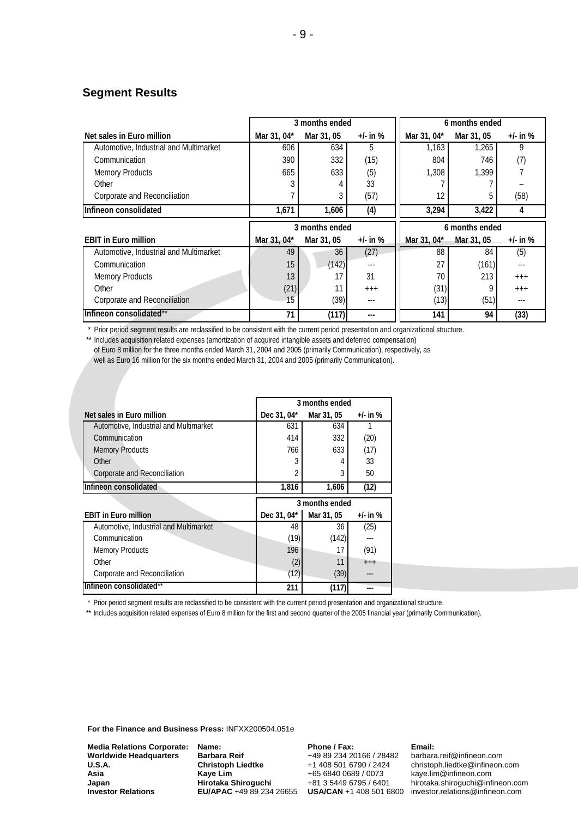#### **Segment Results**

|                                        | 3 months ended |                |              | 6 months ended |                |              |
|----------------------------------------|----------------|----------------|--------------|----------------|----------------|--------------|
| Net sales in Euro million              | Mar 31, 04*    | Mar 31, 05     | $+/-$ in %   | Mar 31, 04*    | Mar 31, 05     | +/- in $%$   |
| Automotive, Industrial and Multimarket | 606            | 634            | 5            | 1,163          | 1,265          | 9            |
| Communication                          | 390            | 332            | (15)         | 804            | 746            | (7)          |
| <b>Memory Products</b>                 | 665            | 633            | (5)          | 1,308          | 1.399          |              |
| Other                                  |                |                | 33           |                |                |              |
| Corporate and Reconciliation           |                |                | (57)         | 12             |                | (58)         |
| Infineon consolidated                  | 1,671          | 1,606          | (4)          | 3,294          | 3,422          | 4            |
|                                        |                |                |              |                |                |              |
|                                        |                | 3 months ended |              |                | 6 months ended |              |
| <b>EBIT in Euro million</b>            | Mar 31, 04*    | Mar 31, 05     | $+/-$ in $%$ | Mar 31, 04*    | Mar 31, 05     | $+/-$ in $%$ |
| Automotive, Industrial and Multimarket | 49             | 36             | (27)         | 88             | 84             | (5)          |
| Communication                          | 15             | (142)          | ---          | 27             | (161)          | $-- -$       |
| <b>Memory Products</b>                 | 13             | 17             | 31           | 70             | 213            | $+++$        |
| Other                                  | (21)           | 11             | $++++$       | (31)           | O              | $+++$        |
| Corporate and Reconciliation           | 15             | (39)           | $\cdots$     | (13)           | (51)           | $\cdots$     |

\* Prior period segment results are reclassified to be consistent with the current period presentation and organizational structure.

\*\* Includes acquisition related expenses (amortization of acquired intangible assets and deferred compensation) of Euro 8 million for the three months ended March 31, 2004 and 2005 (primarily Communication), respectively, as well as Euro 16 million for the six months ended March 31, 2004 and 2005 (primarily Communication).

|                                        | 3 months ended |                |              |  |
|----------------------------------------|----------------|----------------|--------------|--|
| Net sales in Euro million              | Dec 31, 04*    | Mar 31, 05     | +/- in %     |  |
| Automotive, Industrial and Multimarket | 631            | 634            |              |  |
| Communication                          | 414            | 332            | (20)         |  |
| <b>Memory Products</b>                 | 766            | 633            | (17)         |  |
| Other                                  | 3              | 4              | 33           |  |
| Corporate and Reconciliation           | 2              | 3              | 50           |  |
| Infineon consolidated                  | 1,816          | 1,606          | (12)         |  |
|                                        |                |                |              |  |
|                                        |                | 3 months ended |              |  |
| <b>EBIT in Euro million</b>            | Dec 31, 04*    | Mar 31, 05     | $+/-$ in $%$ |  |
| Automotive, Industrial and Multimarket | 48             | 36             | (25)         |  |
| Communication                          | (19)           | (142)          |              |  |
| <b>Memory Products</b>                 | 196            | 17             | (91)         |  |
| Other                                  | (2)            | 11             | $+++$        |  |
| Corporate and Reconciliation           | (12)           | (39)           |              |  |

\* Prior period segment results are reclassified to be consistent with the current period presentation and organizational structure.

\*\* Includes acquisition related expenses of Euro 8 million for the first and second quarter of the 2005 financial year (primarily Communication).

**For the Finance and Business Press:** INFXX200504.051e

**Media Relations Corporate: Worldwide Headquarters U.S.A. Asia Japan Investor Relations**

**Name: Barbara Reif Christoph Liedtke Kaye Lim Hirotaka Shiroguchi EU/APAC** +49 89 234 26655

**Phone / Fax:**  +49 89 234 20166 / 28482 +1 408 501 6790 / 2424 +65 6840 0689 / 0073 +81 3 5449 6795 / 6401

#### **Email:**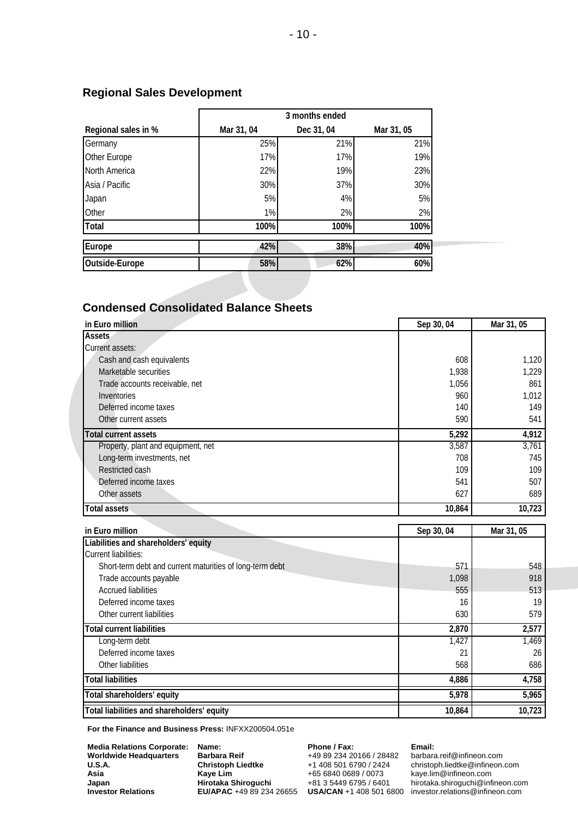|                     | 3 months ended |            |            |  |
|---------------------|----------------|------------|------------|--|
| Regional sales in % | Mar 31, 04     | Dec 31, 04 | Mar 31, 05 |  |
| Germany             | 25%            | 21%        | 21%        |  |
| Other Europe        | 17%            | 17%        | 19%        |  |
| North America       | 22%            | 19%        | 23%        |  |
| Asia / Pacific      | 30%            | 37%        | 30%        |  |
| Japan               | 5%             | 4%         | 5%         |  |
| Other               | 1%             | 2%         | 2%         |  |
| Total               | 100%           | 100%       | 100%       |  |
| Europe              | 42%            | 38%        | 40%        |  |
| Outside-Europe      | 58%            | 62%        | 60%        |  |
|                     |                |            |            |  |

# **Regional Sales Development**

### **Condensed Consolidated Balance Sheets**

| in Euro million                    | Sep 30, 04 | Mar 31, 05 |
|------------------------------------|------------|------------|
| <b>Assets</b>                      |            |            |
| Current assets:                    |            |            |
| Cash and cash equivalents          | 608        | 1,120      |
| Marketable securities              | 1,938      | 1,229      |
| Trade accounts receivable, net     | 1,056      | 861        |
| Inventories                        | 960        | 1,012      |
| Deferred income taxes              | 140        | 149        |
| Other current assets               | 590        | 541        |
| <b>Total current assets</b>        | 5,292      | 4,912      |
| Property, plant and equipment, net | 3,587      | 3,761      |
| Long-term investments, net         | 708        | 745        |
| Restricted cash                    | 109        | 109        |
| Deferred income taxes              | 541        | 507        |
| Other assets                       | 627        | 689        |
| <b>Total assets</b>                | 10,864     | 10,723     |

| in Euro million                                          | Sep 30, 04 | Mar 31, 05 |
|----------------------------------------------------------|------------|------------|
| Liabilities and shareholders' equity                     |            |            |
| <b>Current liabilities:</b>                              |            |            |
| Short-term debt and current maturities of long-term debt | 571        | 548        |
| Trade accounts payable                                   | 1,098      | 918        |
| <b>Accrued liabilities</b>                               | 555        | 513        |
| Deferred income taxes                                    | 16         | 19         |
| Other current liabilities                                | 630        | 579        |
| <b>Total current liabilities</b>                         | 2,870      | 2,577      |
| Long-term debt                                           | 1,427      | 1,469      |
| Deferred income taxes                                    | 21         | 26         |
| Other liabilities                                        | 568        | 686        |
| <b>Total liabilities</b>                                 | 4,886      | 4,758      |
| Total shareholders' equity                               | 5,978      | 5,965      |
| Total liabilities and shareholders' equity               | 10,864     | 10,723     |

**For the Finance and Business Press:** INFXX200504.051e

| <b>Media Relations Corporate:</b> |
|-----------------------------------|
| <b>Worldwide Headquarters</b>     |
| U.S.A.                            |
| Asia                              |
| Japan                             |
| <b>Investor Relations</b>         |

**Name: Barbara Reif Christoph Liedtke Kaye Lim Hirotaka Shiroguchi EU/APAC** +49 89 234 26655 **Phone / Fax:**  +49 89 234 20166 / 28482 +1 408 501 6790 / 2424 +65 6840 0689 / 0073 +81 3 5449 6795 / 6401

#### **Email:**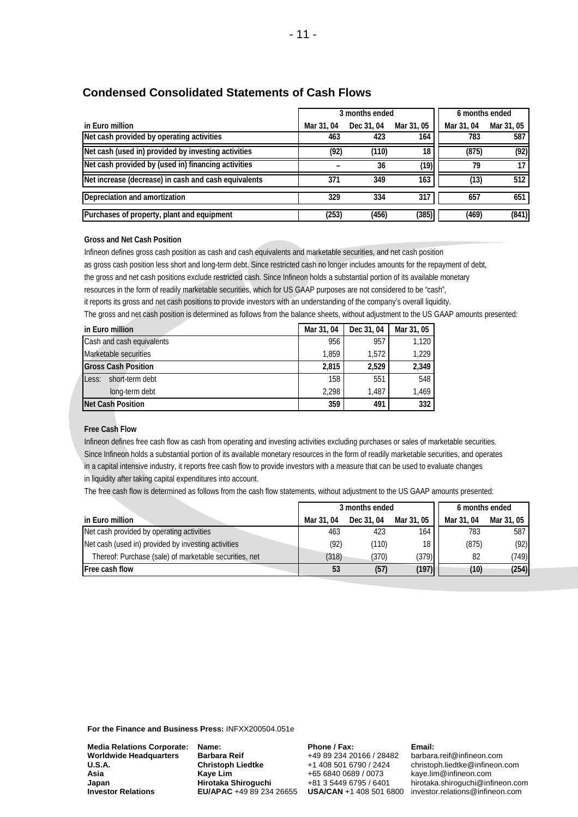### **Condensed Consolidated Statements of Cash Flows**

|                                                      | 3 months ended |            |            | 6 months ended |            |
|------------------------------------------------------|----------------|------------|------------|----------------|------------|
| in Euro million                                      | Mar 31, 04     | Dec 31, 04 | Mar 31, 05 | Mar 31, 04     | Mar 31, 05 |
| Net cash provided by operating activities            | 463            | 423        | 164        | 783            | 587        |
| Net cash (used in) provided by investing activities  | (92)           | (110)      | 18         | (875)          | (92)       |
| Net cash provided by (used in) financing activities  |                | 36         | (19)       | 79             |            |
| Net increase (decrease) in cash and cash equivalents | 371            | 349        | 163        | (13)           | 512        |
| Depreciation and amortization                        | 329            | 334        | 317        | 657            | 651        |
| Purchases of property, plant and equipment           | (253)          | (456)      | (385)      | (469)          | (841)      |

#### **Gross and Net Cash Position**

Infineon defines gross cash position as cash and cash equivalents and marketable securities, and net cash position as gross cash position less short and long-term debt. Since restricted cash no longer includes amounts for the repayment of debt, the gross and net cash positions exclude restricted cash. Since Infineon holds a substantial portion of its available monetary resources in the form of readily marketable securities, which for US GAAP purposes are not considered to be "cash", it reports its gross and net cash positions to provide investors with an understanding of the company's overall liquidity. The gross and net cash position is determined as follows from the balance sheets, without adjustment to the US GAAP amounts presented:

| in Euro million            | Mar 31, 04 | Dec 31, 04 | Mar 31, 05 |
|----------------------------|------------|------------|------------|
| Cash and cash equivalents  | 956        | 957        | 1,120      |
| Marketable securities      | 1.859      | 1.572      | 1,229      |
| <b>Gross Cash Position</b> | 2.815      | 2,529      | 2,349      |
| Less:<br>short-term debt   | 158        | 551        | 548        |
| long-term debt             | 2.298      | 1.487      | 1,469      |
| Net Cash Position          | 359        | 491        | 332        |

#### **Free Cash Flow**

Infineon defines free cash flow as cash from operating and investing activities excluding purchases or sales of marketable securities. Since Infineon holds a substantial portion of its available monetary resources in the form of readily marketable securities, and operates in a capital intensive industry, it reports free cash flow to provide investors with a measure that can be used to evaluate changes in liquidity after taking capital expenditures into account.

The free cash flow is determined as follows from the cash flow statements, without adjustment to the US GAAP amounts presented:

|                                                        | 3 months ended |            |                 | 6 months ended |            |
|--------------------------------------------------------|----------------|------------|-----------------|----------------|------------|
| in Euro million                                        | Mar 31, 04     | Dec 31, 04 | Mar 31, 05      | Mar 31, 04     | Mar 31, 05 |
| Net cash provided by operating activities              | 463            | 423        | 164             | 783            | 587        |
| Net cash (used in) provided by investing activities    | (92)           | (110)      | 18 <sub>1</sub> | (875)          | (92)       |
| Thereof: Purchase (sale) of marketable securities, net | (318)          | (370)      | (379)           | 82             | (749)      |
| <b>Free cash flow</b>                                  | 53             | (57)       | (197)           | (10)           | (254)      |

**For the Finance and Business Press:** INFXX200504.051e

| <b>Media Relations Corporate:</b> |
|-----------------------------------|
| <b>Worldwide Headquarters</b>     |
| U.S.A.                            |
| Asia                              |
| Japan                             |
| <b>Investor Relations</b>         |

**Name: Barbara Reif Christoph Liedtke Kaye Lim Hirotaka Shiroguchi** 

#### **Phone / Fax:**  +49 89 234 20166 / 28482 +1 408 501 6790 / 2424 +65 6840 0689 / 0073 +81 3 5449 6795 / 6401

#### **Email:**